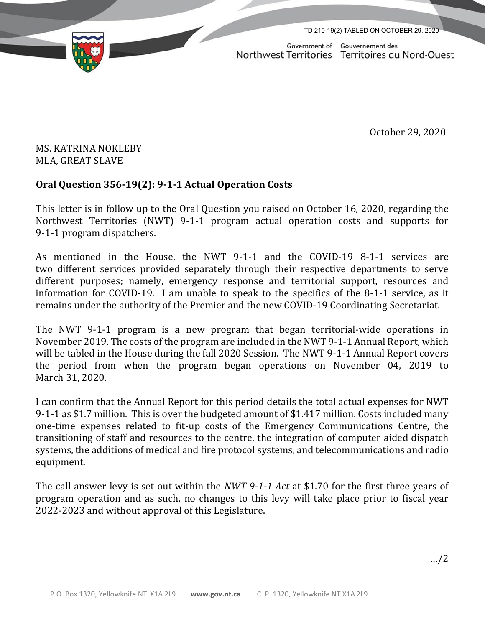TD 210-19(2) TABLED ON OCTOBER 29, 2020

Government of Gouvernement des Northwest Territories Territoires du Nord-Ouest

October 29, 2020

## MS. KATRINA NOKLEBY MLA, GREAT SLAVE

## **Oral Question 356-19(2): 9-1-1 Actual Operation Costs**

This letter is in follow up to the Oral Question you raised on October 16, 2020, regarding the Northwest Territories (NWT) 9-1-1 program actual operation costs and supports for 9-1-1 program dispatchers.

As mentioned in the House, the NWT 9-1-1 and the COVID-19 8-1-1 services are two different services provided separately through their respective departments to serve different purposes; namely, emergency response and territorial support, resources and information for COVID-19. I am unable to speak to the specifics of the 8-1-1 service, as it remains under the authority of the Premier and the new COVID-19 Coordinating Secretariat.

The NWT 9-1-1 program is a new program that began territorial-wide operations in November 2019. The costs of the program are included in the NWT 9-1-1 Annual Report, which will be tabled in the House during the fall 2020 Session. The NWT 9-1-1 Annual Report covers the period from when the program began operations on November 04, 2019 to March 31, 2020.

I can confirm that the Annual Report for this period details the total actual expenses for NWT 9-1-1 as \$1.7 million. This is over the budgeted amount of \$1.417 million. Costs included many one-time expenses related to fit-up costs of the Emergency Communications Centre, the transitioning of staff and resources to the centre, the integration of computer aided dispatch systems, the additions of medical and fire protocol systems, and telecommunications and radio equipment.

The call answer levy is set out within the *NWT 9-1-1 Act* at \$1.70 for the first three years of program operation and as such, no changes to this levy will take place prior to fiscal year 2022-2023 and without approval of this Legislature.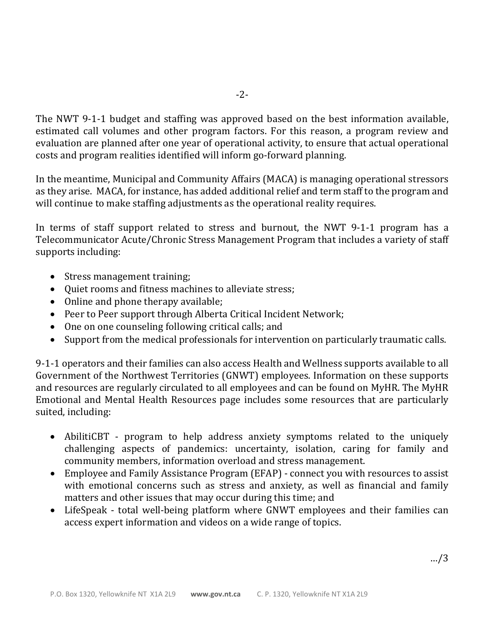The NWT 9-1-1 budget and staffing was approved based on the best information available, estimated call volumes and other program factors. For this reason, a program review and evaluation are planned after one year of operational activity, to ensure that actual operational costs and program realities identified will inform go-forward planning.

In the meantime, Municipal and Community Affairs (MACA) is managing operational stressors as they arise. MACA, for instance, has added additional relief and term staff to the program and will continue to make staffing adjustments as the operational reality requires.

In terms of staff support related to stress and burnout, the NWT 9-1-1 program has a Telecommunicator Acute/Chronic Stress Management Program that includes a variety of staff supports including:

- Stress management training;
- Quiet rooms and fitness machines to alleviate stress;
- Online and phone therapy available;
- Peer to Peer support through Alberta Critical Incident Network;
- One on one counseling following critical calls; and
- Support from the medical professionals for intervention on particularly traumatic calls.

9-1-1 operators and their families can also access Health and Wellness supports available to all Government of the Northwest Territories (GNWT) employees. Information on these supports and resources are regularly circulated to all employees and can be found on MyHR. The MyHR Emotional and Mental Health Resources page includes some resources that are particularly suited, including:

- AbilitiCBT program to help address anxiety symptoms related to the uniquely challenging aspects of pandemics: uncertainty, isolation, caring for family and community members, information overload and stress management.
- Employee and Family Assistance Program (EFAP) connect you with resources to assist with emotional concerns such as stress and anxiety, as well as financial and family matters and other issues that may occur during this time; and
- LifeSpeak total well-being platform where GNWT employees and their families can access expert information and videos on a wide range of topics.

…/3